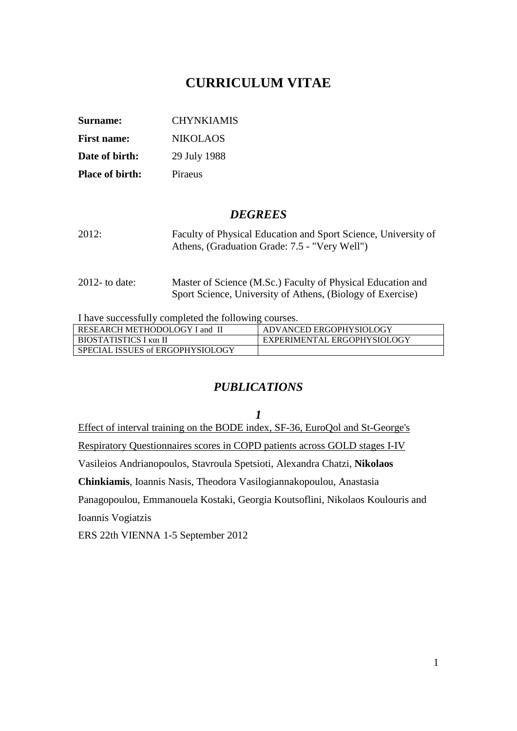# **CURRICULUM VITAE**

| Surname:               | <b>CHYNKIAMIS</b> |
|------------------------|-------------------|
| <b>First name:</b>     | NIKOLAOS          |
| Date of birth:         | 29 July 1988      |
| <b>Place of birth:</b> | Piraeus           |

### *DEGREES*

- 2012: [Faculty of Physical Education and Sport Science,](http://old.phed.uoa.gr/index_en.php) University of Athens, (Graduation Grade: 7.5 - "Very Well")
- 2012- to date: Master of Science (M.Sc.) [Faculty of Physical Education and](http://old.phed.uoa.gr/index_en.php)  [Sport Science,](http://old.phed.uoa.gr/index_en.php) University of Athens, (Biology of Exercise)

I have successfully completed the following courses.

| RESEARCH METHODOLOGY I and II    | ADVANCED ERGOPHYSIOLOGY     |
|----------------------------------|-----------------------------|
| BIOSTATISTICS I και ΙΙ           | EXPERIMENTAL ERGOPHYSIOLOGY |
| SPECIAL ISSUES of ERGOPHYSIOLOGY |                             |

### *PUBLICATIONS*

*1* Effect of interval training on the BODE index, SF-36, EuroQol and St-George's Respiratory Questionnaires scores in COPD patients across GOLD stages I-IV Vasileios Andrianopoulos, Stavroula Spetsioti, Alexandra Chatzi, **Nikolaos Chinkiamis**, Ioannis Nasis, Theodora Vasilogiannakopoulou, Anastasia Panagopoulou, Emmanouela Kostaki, Georgia Koutsoflini, Nikolaos Koulouris and Ioannis Vogiatzis ERS 22th VIENNA 1-5 September 2012